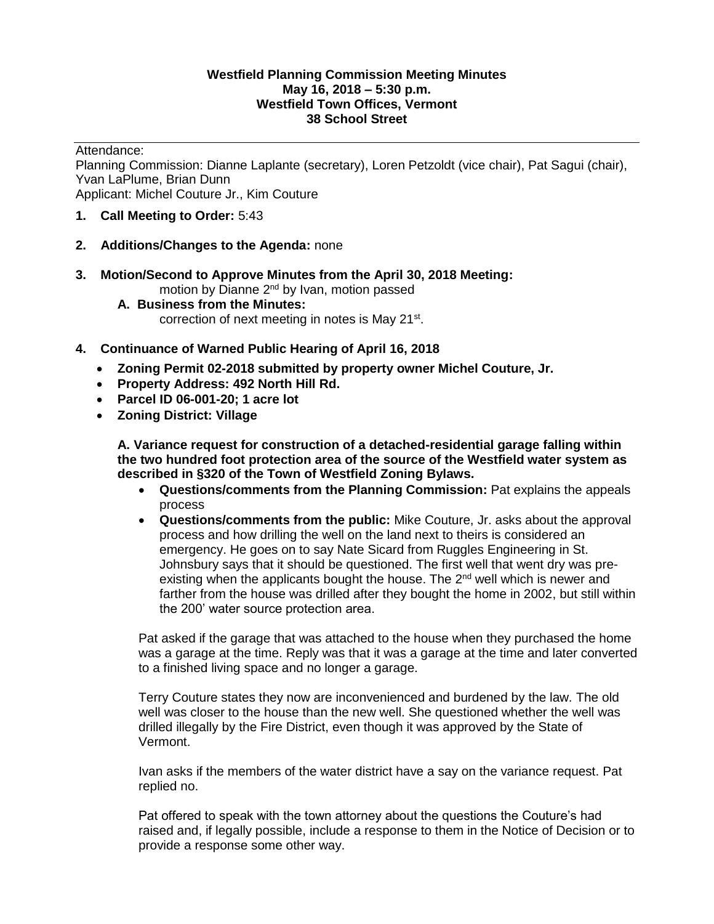#### **Westfield Planning Commission Meeting Minutes May 16, 2018 – 5:30 p.m. Westfield Town Offices, Vermont 38 School Street**

Attendance:

Planning Commission: Dianne Laplante (secretary), Loren Petzoldt (vice chair), Pat Sagui (chair), Yvan LaPlume, Brian Dunn Applicant: Michel Couture Jr., Kim Couture

- **1. Call Meeting to Order:** 5:43
- **2. Additions/Changes to the Agenda:** none
- **3. Motion/Second to Approve Minutes from the April 30, 2018 Meeting:**  motion by Dianne 2<sup>nd</sup> by Ivan, motion passed
- **A. Business from the Minutes:**  correction of next meeting in notes is May 21<sup>st</sup>.
- **4. Continuance of Warned Public Hearing of April 16, 2018** 
	- **Zoning Permit 02-2018 submitted by property owner Michel Couture, Jr.**
	- **Property Address: 492 North Hill Rd.**
	- **Parcel ID 06-001-20; 1 acre lot**
	- **Zoning District: Village**

**A. Variance request for construction of a detached-residential garage falling within the two hundred foot protection area of the source of the Westfield water system as described in §320 of the Town of Westfield Zoning Bylaws.** 

- **Questions/comments from the Planning Commission:** Pat explains the appeals process
- **Questions/comments from the public:** Mike Couture, Jr. asks about the approval process and how drilling the well on the land next to theirs is considered an emergency. He goes on to say Nate Sicard from Ruggles Engineering in St. Johnsbury says that it should be questioned. The first well that went dry was preexisting when the applicants bought the house. The  $2^{nd}$  well which is newer and farther from the house was drilled after they bought the home in 2002, but still within the 200' water source protection area.

Pat asked if the garage that was attached to the house when they purchased the home was a garage at the time. Reply was that it was a garage at the time and later converted to a finished living space and no longer a garage.

Terry Couture states they now are inconvenienced and burdened by the law. The old well was closer to the house than the new well. She questioned whether the well was drilled illegally by the Fire District, even though it was approved by the State of Vermont.

Ivan asks if the members of the water district have a say on the variance request. Pat replied no.

Pat offered to speak with the town attorney about the questions the Couture's had raised and, if legally possible, include a response to them in the Notice of Decision or to provide a response some other way.